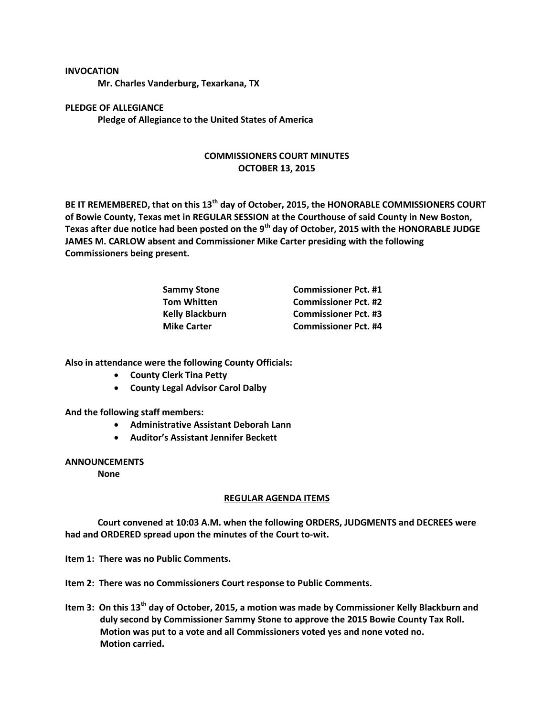## **INVOCATION**

**Mr. Charles Vanderburg, Texarkana, TX**

**PLEDGE OF ALLEGIANCE Pledge of Allegiance to the United States of America**

## **COMMISSIONERS COURT MINUTES OCTOBER 13, 2015**

**BE IT REMEMBERED, that on this 13th day of October, 2015, the HONORABLE COMMISSIONERS COURT of Bowie County, Texas met in REGULAR SESSION at the Courthouse of said County in New Boston, Texas after due notice had been posted on the 9th day of October, 2015 with the HONORABLE JUDGE JAMES M. CARLOW absent and Commissioner Mike Carter presiding with the following Commissioners being present.**

| <b>Sammy Stone</b> | <b>Commissioner Pct. #1</b> |
|--------------------|-----------------------------|
| <b>Tom Whitten</b> | <b>Commissioner Pct. #2</b> |
| Kelly Blackburn    | <b>Commissioner Pct. #3</b> |
| <b>Mike Carter</b> | <b>Commissioner Pct. #4</b> |

**Also in attendance were the following County Officials:**

- **County Clerk Tina Petty**
- **County Legal Advisor Carol Dalby**

**And the following staff members:**

- **Administrative Assistant Deborah Lann**
- **Auditor's Assistant Jennifer Beckett**

## **ANNOUNCEMENTS**

**None**

## **REGULAR AGENDA ITEMS**

**Court convened at 10:03 A.M. when the following ORDERS, JUDGMENTS and DECREES were had and ORDERED spread upon the minutes of the Court to-wit.**

**Item 1: There was no Public Comments.**

**Item 2: There was no Commissioners Court response to Public Comments.**

**Item 3: On this 13th day of October, 2015, a motion was made by Commissioner Kelly Blackburn and duly second by Commissioner Sammy Stone to approve the 2015 Bowie County Tax Roll. Motion was put to a vote and all Commissioners voted yes and none voted no. Motion carried.**